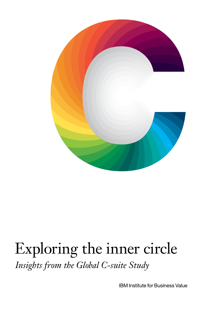

## Exploring the inner circle *Insights from the Global C-suite Study*

IBM Institute for Business Value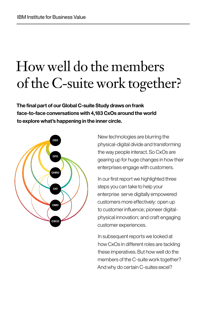## How well do the members of the C-suite work together?

**The final part of our Global C-suite Study draws on frank face-to-face conversations with 4,183 CxOs around the world to explore what's happening in the inner circle.**



New technologies are blurring the physical-digital divide and transforming the way people interact. So CxOs are gearing up for huge changes in how their enterprises engage with customers.

In our first report we highlighted three steps you can take to help your enterprise serve digitally empowered customers more effectively: open up to customer influence; pioneer digitalphysical innovation; and craft engaging customer experiences.

In subsequent reports we looked at how CxOs in different roles are tackling these imperatives. But how well do the members of the C-suite work together? And why do certain C-suites excel?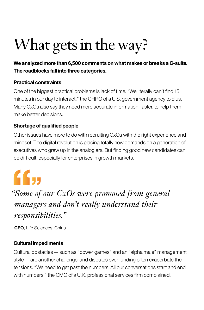# What gets in the way?

## **We analyzed more than 6,500 comments on what makes or breaks a C-suite. The roadblocks fall into three categories.**

## **Practical constraints**

One of the biggest practical problems is lack of time. "We literally can't find 15 minutes in our day to interact," the CHRO of a U.S. government agency told us. Many CxOs also say they need more accurate information, faster, to help them make better decisions.

## **Shortage of qualified people**

Other issues have more to do with recruiting CxOs with the right experience and mindset. The digital revolution is placing totally new demands on a generation of executives who grew up in the analog era. But finding good new candidates can be difficult, especially for enterprises in growth markets.

# "

## *"Some of our CxOs were promoted from general managers and don't really understand their responsibilities."*

**CEO**, Life Sciences, China

## **Cultural impediments**

Cultural obstacles—such as "power games" and an "alpha male" management style—are another challenge, and disputes over funding often exacerbate the tensions. "We need to get past the numbers. All our conversations start and end with numbers," the CMO of a U.K. professional services firm complained.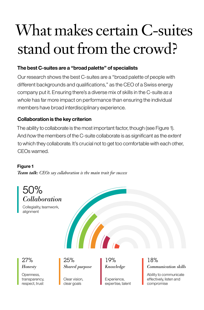# What makes certain C-suites stand out from the crowd?

## **The best C-suites are a "broad palette" of specialists**

Our research shows the best C-suites are a "broad palette of people with different backgrounds and qualifications," as the CEO of a Swiss energy company put it. Ensuring there's a diverse mix of skills in the C-suite *as a whole* has far more impact on performance than ensuring the individual members have broad interdisciplinary experience.

## **Collaboration is the key criterion**

The ability to collaborate is the most important factor, though (see Figure 1). And *how* the members of the C-suite collaborate is as significant as the *extent*  to which they collaborate. It's crucial not to get too comfortable with each other, CEOs warned.

### **Figure 1**

*Team talk: CEOs say collaboration is the main trait for success*



Collegiality, teamwork, alignment



Openness, transparency, respect, trust

27% 25% 19% 18%

Clear vision, clear goals

Experience, expertise, talent

## *Honesty Shared purpose Knowledge Communication skills*

Ability to communicate effectively, listen and compromise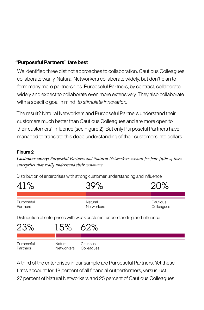## **"Purposeful Partners" fare best**

We identified three distinct approaches to collaboration. Cautious Colleagues collaborate warily. Natural Networkers collaborate widely, but don't plan to form many more partnerships. Purposeful Partners, by contrast, collaborate widely and expect to collaborate even more extensively. They also collaborate with a specific goal in mind: *to stimulate innovation.*

The result? Natural Networkers and Purposeful Partners understand their customers much better than Cautious Colleagues and are more open to their customers' influence (see Figure 2). But only Purposeful Partners have managed to translate this deep understanding of their customers into dollars.

### **Figure 2**

*Customer-savvy: Purposeful Partners and Natural Networkers account for four-fifths of those enterprises that really understand their customers*

Distribution of enterprises with strong customer understanding and influence



Distribution of enterprises with weak customer understanding and influence



A third of the enterprises in our sample are Purposeful Partners. Yet these firms account for 48 percent of all financial outperformers, versus just 27 percent of Natural Networkers and 25 percent of Cautious Colleagues.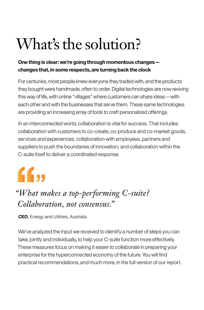# What's the solution?

## **One thing is clear: we're going through momentous changes changes that, in some respects, are turning back the clock**

For centuries, most people knew everyone they traded with, and the products they bought were handmade, often to order. Digital technologies are now reviving this way of life, with online "villages" where customers can share ideas—with each other and with the businesses that serve them. These same technologies are providing an increasing array of tools to craft personalized offerings.

In an interconnected world, collaboration is vital for success. That includes collaboration with customers to co-create, co-produce and co-market goods, services and experiences; collaboration with employees, partners and suppliers to push the boundaries of innovation; and collaboration within the C-suite itself to deliver a coordinated response.

# $ff_{11}$

## *"What makes a top-performing C-suite? Collaboration, not consensus."*

**CEO**, Energy and Utilities, Australia

We've analyzed the input we received to identify a number of steps you can take, jointly and individually, to help your C-suite function more effectively. These measures focus on making it easier to collaborate in preparing your enterprise for the hyperconnected economy of the future. You will find practical recommendations, and much more, in the full version of our report.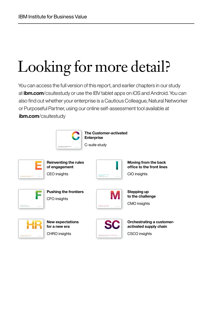# Looking for more detail?

You can access the full version of this report, and earlier chapters in our study at **ibm.com**/csuitestudy or use the IBV tablet apps on iOS and Android. You can also find out whether your enterprise is a Cautious Colleague, Natural Networker or Purposeful Partner, using our online self-assessment tool available at **ibm.com**/csuitestudy